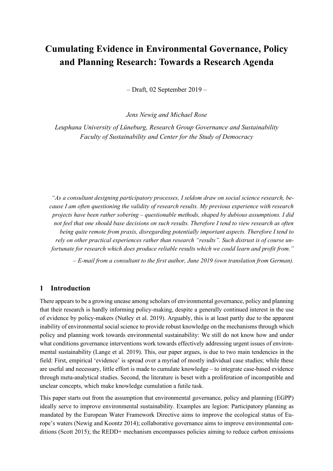# **Cumulating Evidence in Environmental Governance, Policy and Planning Research: Towards a Research Agenda**

– Draft, 02 September 2019 –

*Jens Newig and Michael Rose*

*Leuphana University of Lüneburg, Research Group Governance and Sustainability Faculty of Sustainability and Center for the Study of Democracy*

*"As a consultant designing participatory processes, I seldom draw on social science research, because I am often questioning the validity of research results. My previous experience with research projects have been rather sobering – questionable methods, shaped by dubious assumptions. I did not feel that one should base decisions on such results. Therefore I tend to view research as often being quite remote from praxis, disregarding potentially important aspects. Therefore I tend to rely on other practical experiences rather than research "results". Such distrust is of course unfortunate for research which does produce reliable results which we could learn and profit from."*

*– E-mail from a consultant to the first author, June 2019 (own translation from German).*

#### **1 Introduction**

There appears to be a growing unease among scholars of environmental governance, policy and planning that their research is hardly informing policy-making, despite a generally continued interest in the use of evidence by policy-makers (Nutley et al. 2019). Arguably, this is at least partly due to the apparent inability of environmental social science to provide robust knowledge on the mechanisms through which policy and planning work towards environmental sustainability: We still do not know how and under what conditions governance interventions work towards effectively addressing urgent issues of environmental sustainability (Lange et al. 2019). This, our paper argues, is due to two main tendencies in the field: First, empirical 'evidence' is spread over a myriad of mostly individual case studies; while these are useful and necessary, little effort is made to cumulate knowledge – to integrate case-based evidence through meta-analytical studies. Second, the literature is beset with a proliferation of incompatible and unclear concepts, which make knowledge cumulation a futile task.

This paper starts out from the assumption that environmental governance, policy and planning (EGPP) ideally serve to improve environmental sustainability. Examples are legion: Participatory planning as mandated by the European Water Framework Directive aims to improve the ecological status of Europe's waters (Newig and Koontz 2014); collaborative governance aims to improve environmental conditions (Scott 2015); the REDD+ mechanism encompasses policies aiming to reduce carbon emissions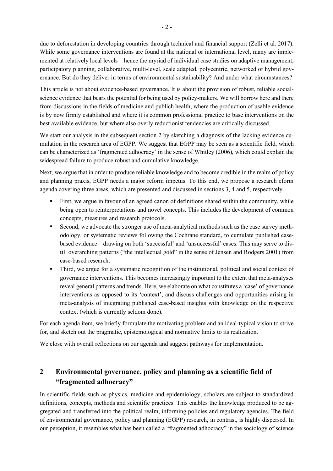due to deforestation in developing countries through technical and financial support (Zelli et al. 2017). While some governance interventions are found at the national or international level, many are implemented at relatively local levels – hence the myriad of individual case studies on adaptive management, participatory planning, collaborative, multi-level, scale adapted, polycentric, networked or hybrid governance. But do they deliver in terms of environmental sustainability? And under what circumstances?

This article is not about evidence-based governance. It is about the provision of robust, reliable socialscience evidence that bears the potential for being used by policy-makers. We will borrow here and there from discussions in the fields of medicine and publich health, where the production of usable evidence is by now firmly established and where it is common professional practice to base interventions on the best available evidence, but where also overly reductionist tendencies are critically discussed.

We start our analysis in the subsequent section 2 by sketching a diagnosis of the lacking evidence cumulation in the research area of EGPP. We suggest that EGPP may be seen as a scientific field, which can be characterized as 'fragmented adhocracy' in the sense of Whitley (2006), which could explain the widespread failure to produce robust and cumulative knowledge.

Next, we argue that in order to produce reliable knowledge and to become credible in the realm of policy and planning praxis, EGPP needs a major reform impetus. To this end, we propose a research eform agenda covering three areas, which are presented and discussed in sections 3, 4 and 5, respectively.

- First, we argue in favour of an agreed canon of definitions shared within the community, while being open to reinterpretations and novel concepts. This includes the development of common concepts, measures and research protocols.
- Second, we advocate the stronger use of meta-analytical methods such as the case survey methodology, or systematic reviews following the Cochrane standard, to cumulate published casebased evidence – drawing on both 'successful' and 'unsuccessful' cases. This may serve to distill overarching patterns ("the intellectual gold" in the sense of Jensen and Rodgers 2001) from case-based research.
- § Third, we argue for a systematic recognition of the institutional, political and social context of governance interventions. This becomes increasingly important to the extent that meta-analyses reveal general patterns and trends. Here, we elaborate on what constitutes a 'case' of governance interventions as opposed to its 'context', and discuss challenges and opportunities arising in meta-analysis of integrating published case-based insights with knowledge on the respective context (which is currently seldom done).

For each agenda item, we briefly formulate the motivating problem and an ideal-typical vision to strive for, and sketch out the pragmatic, epistemological and normative limits to its realization.

We close with overall reflections on our agenda and suggest pathways for implementation.

# **2 Environmental governance, policy and planning as a scientific field of "fragmented adhocracy"**

In scientific fields such as physics, medicine and epidemiology, scholars are subject to standardized definitions, concepts, methods and scientific practices. This enables the knowledge produced to be aggregated and transferred into the political realm, informing policies and regulatory agencies. The field of environmental governance, policy and planning (EGPP) research, in contrast, is highly dispersed. In our perception, it resembles what has been called a "fragmented adhocracy" in the sociology of science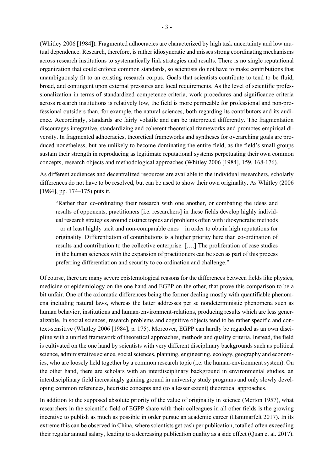(Whitley 2006 [1984]). Fragmented adhocracies are characterized by high task uncertainty and low mutual dependence. Research, therefore, is rather idiosyncratic and misses strong coordinating mechanisms across research institutions to systematically link strategies and results. There is no single reputational organization that could enforce common standards, so scientists do not have to make contributions that unambiguously fit to an existing research corpus. Goals that scientists contribute to tend to be fluid, broad, and contingent upon external pressures and local requirements. As the level of scientific professionalization in terms of standardized competence criteria, work procedures and significance criteria across research institutions is relatively low, the field is more permeable for professional and non-professional outsiders than, for example, the natural sciences, both regarding its contributors and its audience. Accordingly, standards are fairly volatile and can be interpreted differently. The fragmentation discourages integrative, standardizing and coherent theoretical frameworks and promotes empirical diversity. In fragmented adhocracies, theoretical frameworks and syntheses for overarching goals are produced nonetheless, but are unlikely to become dominating the entire field, as the field's small groups sustain their strength in reproducing as legitimate reputational systems perpetuating their own common concepts, research objects and methodological approaches (Whitley 2006 [1984], 159, 168-176).

As different audiences and decentralized resources are available to the individual researchers, scholarly differences do not have to be resolved, but can be used to show their own originality. As Whitley (2006 [1984], pp. 174–175) puts it,

"Rather than co-ordinating their research with one another, or combating the ideas and results of opponents, practitioners [i.e. researchers] in these fields develop highly individual research strategies around distinct topics and problems often with idiosyncratic methods – or at least highly tacit and non-comparable ones – in order to obtain high reputations for originality. Differentiation of contributions is a higher priority here than co-ordination of results and contribution to the collective enterprise. [….] The proliferation of case studies in the human sciences with the expansion of practitioners can be seen as part of this process preferring differentiation and security to co-ordination and challenge."

Of course, there are many severe epistemological reasons for the differences between fields like physics, medicine or epidemiology on the one hand and EGPP on the other, that prove this comparison to be a bit unfair. One of the axiomatic differences being the former dealing mostly with quantifiable phenomena including natural laws, whereas the latter addresses per se nondeterministic phenomena such as human behavior, institutions and human-environment-relations, producing results which are less generalizable. In social sciences, research problems and cognitive objects tend to be rather specific and context-sensitive (Whitley 2006 [1984], p. 175). Moreover, EGPP can hardly be regarded as an own discipline with a unified framework of theoretical approaches, methods and quality criteria. Instead, the field is cultivated on the one hand by scientists with very different disciplinary backgrounds such as political science, administrative science, social sciences, planning, engineering, ecology, geography and economics, who are loosely held together by a common research topic (i.e. the human-environment system). On the other hand, there are scholars with an interdisciplinary background in environmental studies, an interdisciplinary field increasingly gaining ground in university study programs and only slowly developing common references, heuristic concepts and (to a lesser extent) theoretical approaches.

In addition to the supposed absolute priority of the value of originality in science (Merton 1957), what researchers in the scientific field of EGPP share with their colleagues in all other fields is the growing incentive to publish as much as possible in order pursue an academic career (Hammarfelt 2017). In its extreme this can be observed in China, where scientists get cash per publication, totalled often exceeding their regular annual salary, leading to a decreasing publication quality as a side effect (Quan et al. 2017).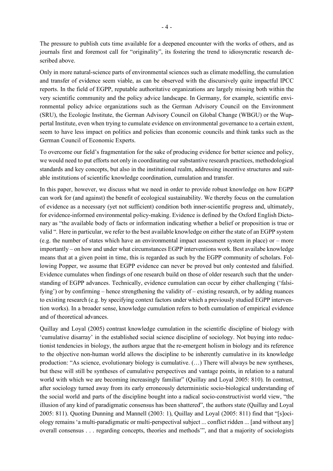The pressure to publish cuts time available for a deepened encounter with the works of others, and as journals first and foremost call for "originality", its fostering the trend to idiosyncratic research described above.

Only in more natural-science parts of environmental sciences such as climate modelling, the cumulation and transfer of evidence seem viable, as can be observed with the discursively quite impactful IPCC reports. In the field of EGPP, reputable authoritative organizations are largely missing both within the very scientific community and the policy advice landscape. In Germany, for example, scientific environmental policy advice organizations such as the German Advisory Council on the Environment (SRU), the Ecologic Institute, the German Advisory Council on Global Change (WBGU) or the Wuppertal Institute, even when trying to cumulate evidence on environmental governance to a certain extent, seem to have less impact on politics and policies than economic councils and think tanks such as the German Council of Economic Experts.

To overcome our field's fragmentation for the sake of producing evidence for better science and policy, we would need to put efforts not only in coordinating our substantive research practices, methodological standards and key concepts, but also in the institutional realm, addressing incentive structures and suitable institutions of scientific knowledge coordination, cumulation and transfer.

In this paper, however, we discuss what we need in order to provide robust knowledge on how EGPP can work for (and against) the benefit of ecological sustainability. We thereby focus on the cumulation of evidence as a necessary (yet not sufficient) condition both inner-scientific progress and, ultimately, for evidence-informed environmental policy-making. Evidence is defined by the Oxford English Dictonary as "the available body of facts or information indicating whether a belief or proposition is true or valid ". Here in particular, we refer to the best available knowledge on either the state of an EGPP system (e.g. the number of states which have an environmental impact assessment system in place) or – more importantly – on how and under what circumstances EGPP interventions work. Best availabe knowledge means that at a given point in time, this is regarded as such by the EGPP community of scholars. Following Popper, we assume that EGPP evidence can never be proved but only contested and falsified. Evidence cumulates when findings of one research build on those of older research such that the understanding of EGPP advances. Technically, evidence cumulation can occur by either challenging ('falsifying') or by confirming – hence strengthening the validity of – existing research, or by adding nuances to existing research (e.g. by specifying context factors under which a previously studied EGPP intervention works). In a broader sense, knowledge cumulation refers to both cumulation of empirical evidence and of theoretical advances.

Quillay and Loyal (2005) contrast knowledge cumulation in the scientific discipline of biology with 'cumulative disarray' in the established social science discipline of sociology. Not buying into reductionist tendencies in biology, the authors argue that the re-emergent holism in biology and its reference to the objective non-human world allows the discipline to be inherently cumulative in its knowledge production: "As science, evolutionary biology is cumulative. (…) There will always be new syntheses, but these will still be syntheses of cumulative perspectives and vantage points, in relation to a natural world with which we are becoming increasingly familiar" (Quillay and Loyal 2005: 810). In contrast, after sociology turned away from its early erroneously deterministic socio-biological understanding of the social world and parts of the discipline bought into a radical socio-constructivist world view, "the illusion of any kind of paradigmatic consensus has been shattered", the authors state (Quillay and Loyal 2005: 811). Quoting Dunning and Mannell (2003: 1), Quillay and Loyal (2005: 811) find that "[s]ociology remains 'a multi-paradigmatic or multi-perspectival subject ... conflict ridden ... [and without any] overall consensus . . . regarding concepts, theories and methods'", and that a majority of sociologists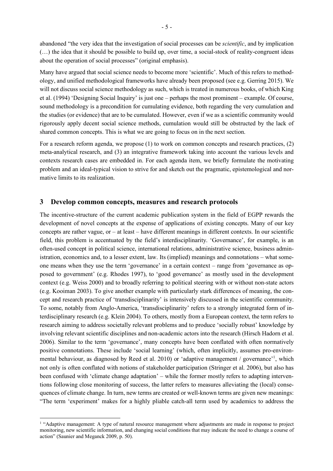abandoned "the very idea that the investigation of social processes can be *scientific*, and by implication (…) the idea that it should be possible to build up, over time, a social-stock of reality-congruent ideas about the operation of social processes" (original emphasis).

Many have argued that social science needs to become more 'scientific'. Much of this refers to methodology, and unified methodological frameworks have already been proposed (see e.g. Gerring 2015). We will not discuss social science methodology as such, which is treated in numerous books, of which King et al. (1994) 'Designing Social Inquiry' is just one – perhaps the most prominent – example. Of course, sound methodology is a precondition for cumulating evidence, both regarding the very cumulation and the studies (or evidence) that are to be cumulated. However, even if we as a scientific community would rigorously apply decent social science methods, cumulation would still be obstructed by the lack of shared common concepts. This is what we are going to focus on in the next section.

For a research reform agenda, we propose (1) to work on common concepts and research practices, (2) meta-analytical research, and (3) an integrative framework taking into account the various levels and contexts research cases are embedded in. For each agenda item, we briefly formulate the motivating problem and an ideal-typical vision to strive for and sketch out the pragmatic, epistemological and normative limits to its realization.

#### **3 Develop common concepts, measures and research protocols**

The incentive-structure of the current academic publication system in the field of EGPP rewards the development of novel concepts at the expense of applications of existing concepts. Many of our key concepts are rather vague, or – at least – have different meanings in different contexts. In our scientific field, this problem is accentuated by the field's interdisciplinarity. 'Governance', for example, is an often-used concept in political science, international relations, administrative science, business administration, economics and, to a lesser extent, law. Its (implied) meanings and connotations – what someone means when they use the term 'governance' in a certain context – range from 'governance as opposed to government' (e.g. Rhodes 1997), to 'good governance' as mostly used in the development context (e.g. Weiss 2000) and to broadly referring to political steering with or without non-state actors (e.g. Kooiman 2003). To give another example with particularly stark differences of meaning, the concept and research practice of 'transdisciplinarity' is intensively discussed in the scientific community. To some, notably from Anglo-America, 'transdisciplinarity' refers to a strongly integrated form of interdisciplinary research (e.g. Klein 2004). To others, mostly from a European context, the term refers to research aiming to address societally relevant problems and to produce 'socially robust' knowledge by involving relevant scientific disciplines and non-academic actors into the research (Hirsch Hadorn et al. 2006). Similar to the term 'governance', many concepts have been conflated with often normatively positive connotations. These include 'social learning' (which, often implicitly, assumes pro-environmental behaviour, as diagnosed by Reed et al. 2010) or 'adaptive management / governance'<sup>1</sup>, which not only is often conflated with notions of stakeholder participation (Stringer et al. 2006), but also has been confused with 'climate change adaptation' – while the former mostly refers to adapting interventions following close monitoring of success, the latter refers to measures alleviating the (local) consequences of climate change. In turn, new terms are created or well-known terms are given new meanings: "The term 'experiment' makes for a highly pliable catch-all term used by academics to address the

<sup>&</sup>lt;sup>1</sup> "Adaptive management: A type of natural resource management where adjustments are made in response to project monitoring, new scientific information, and changing social conditions that may indicate the need to change a course of action" (Saunier and Meganck 2009, p. 50).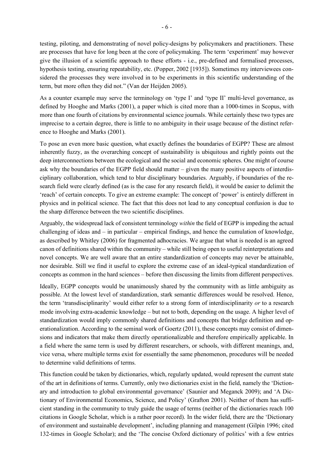testing, piloting, and demonstrating of novel policy-designs by policymakers and practitioners. These are processes that have for long been at the core of policymaking. The term 'experiment' may however give the illusion of a scientific approach to these efforts - i.e., pre-defined and formalised processes, hypothesis testing, ensuring repeatability, etc. (Popper, 2002 [1935]). Sometimes my interviewees considered the processes they were involved in to be experiments in this scientific understanding of the term, but more often they did not." (Van der Heijden 2005).

As a counter example may serve the terminology on 'type I' and 'type II' multi-level governance, as defined by Hooghe and Marks (2001), a paper which is cited more than a 1000-times in Scopus, with more than one fourth of citations by environmental science journals. While certainly these two types are imprecise to a certain degree, there is little to no ambiguity in their usage because of the distinct reference to Hooghe and Marks (2001).

To pose an even more basic question, what exactly defines the boundaries of EGPP? These are almost inherently fuzzy, as the overarching concept of sustainability is ubiquitous and rightly points out the deep interconnections between the ecological and the social and economic spheres. One might of course ask why the boundaries of the EGPP field should matter – given the many positive aspects of interdisciplinary collaboration, which tend to blur disciplinary boundaries. Arguably, if boundaries of the research field were clearly defined (as is the case for any research field), it would be easier to delimit the 'reach' of certain concepts. To give an extreme example: The concept of 'power' is entirely different in physics and in political science. The fact that this does not lead to any conceptual confusion is due to the sharp difference between the two scientific disciplines.

Arguably, the widespread lack of consistent terminology *within* the field of EGPP is impeding the actual challenging of ideas and – in particular – empirical findings, and hence the cumulation of knowledge, as described by Whitley (2006) for fragmented adhocracies. We argue that what is needed is an agreed canon of definitions shared within the community – while still being open to useful reinterpretations and novel concepts. We are well aware that an entire standardization of concepts may never be attainable, nor desirable. Still we find it useful to explore the extreme case of an ideal-typical standardization of concepts as common in the hard sciences – before then discussing the limits from different perspectives.

Ideally, EGPP concepts would be unanimously shared by the community with as little ambiguity as possible. At the lowest level of standardization, stark semantic differences would be resolved. Hence, the term 'transdisciplinarity' would either refer to a strong form of interdisciplinarity *or* to a research mode involving extra-academic knowledge – but not to both, depending on the usage. A higher level of standardization would imply commonly shared definitions and concepts that bridge definition and operationalization. According to the seminal work of Goertz (2011), these concepts may consist of dimensions and indicators that make them directly operationalizable and therefore empirically applicable. In a field where the same term is used by different researchers, or schools, with different meanings, and, vice versa, where multiple terms exist for essentially the same phenomenon, procedures will be needed to determine valid definitions of terms.

This function could be taken by dictionaries, which, regularly updated, would represent the current state of the art in definitions of terms. Currently, only two dictionaries exist in the field, namely the 'Dictionary and introduction to global environmental governance' (Saunier and Meganck 2009); and 'A Dictionary of Environmental Economics, Science, and Policy' (Grafton 2001). Neither of them has sufficient standing in the community to truly guide the usage of terms (neither of the dictionaries reach 100 citations in Google Scholar, which is a rather poor record). In the wider field, there are the 'Dictionary of environment and sustainable development', including planning and management (Gilpin 1996; cited 132-times in Google Scholar); and the 'The concise Oxford dictionary of politics' with a few entries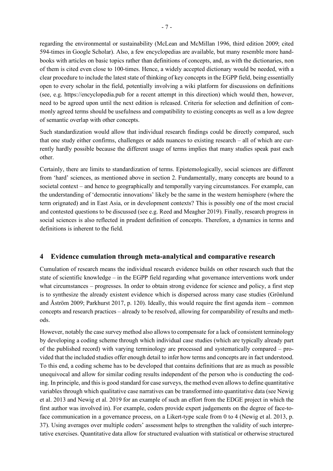regarding the environmental or sustainability (McLean and McMillan 1996, third edition 2009; cited 594-times in Google Scholar). Also, a few encyclopedias are available, but many resemble more handbooks with articles on basic topics rather than definitions of concepts, and, as with the dictionaries, non of them is cited even close to 100-times. Hence, a widely accepted dictionary would be needed, with a clear procedure to include the latest state of thinking of key concepts in the EGPP field, being essentially open to every scholar in the field, potentially involving a wiki platform for discussions on definitions (see, e.g. https://encyclopedia.pub for a recent attempt in this direction) which would then, however, need to be agreed upon until the next edition is released. Criteria for selection and definition of commonly agreed terms should be usefulness and compatibility to existing concepts as well as a low degree of semantic overlap with other concepts.

Such standardization would allow that individual research findings could be directly compared, such that one study either confirms, challenges or adds nuances to existing research – all of which are currently hardly possible because the different usage of terms implies that many studies speak past each other.

Certainly, there are limits to standardization of terms. Epistemologically, social sciences are different from 'hard' sciences, as mentioned above in section 2. Fundamentally, many concepts are bound to a societal context – and hence to geographically and temporally varying circumstances. For example, can the understanding of 'democratic innovations' likely be the same in the western hemisphere (where the term orignated) and in East Asia, or in development contexts? This is possibly one of the most crucial and contested questions to be discussed (see e.g. Reed and Meagher 2019). Finally, research progress in social sciences is also reflected in prudent definition of concepts. Therefore, a dynamics in terms and definitions is inherent to the field.

# **4 Evidence cumulation through meta-analytical and comparative research**

Cumulation of research means the individual research evidence builds on other research such that the state of scientific knowledge – in the EGPP field regarding what governance interventions work under what circumstances – progresses. In order to obtain strong evidence for science and policy, a first step is to synthesize the already existent evidence which is dispersed across many case studies (Grönlund and Åström 2009; Parkhurst 2017, p. 120). Ideally, this would require the first agenda item – common concepts and research practices – already to be resolved, allowing for comparability of results and methods.

However, notably the case survey method also allows to compensate for a lack of consistent terminology by developing a coding scheme through which individual case studies (which are typically already part of the published record) with varying terminology are processed and systematically compared – provided that the included studies offer enough detail to infer how terms and concepts are in fact understood. To this end, a coding scheme has to be developed that contains definitions that are as much as possible unequivocal and allow for similar coding results independent of the person who is conducting the coding. In principle, and this is good standard for case surveys, the method even allows to define quantitative variables through which qualitative case narratives can be transformed into quantitative data (see Newig et al. 2013 and Newig et al. 2019 for an example of such an effort from the EDGE project in which the first author was involved in). For example, coders provide expert judgements on the degree of face-toface communication in a governance process, on a Likert-type scale from 0 to 4 (Newig et al. 2013, p. 37). Using averages over multiple coders' assessment helps to strengthen the validity of such interpretative exercises. Quantitative data allow for structured evaluation with statistical or otherwise structured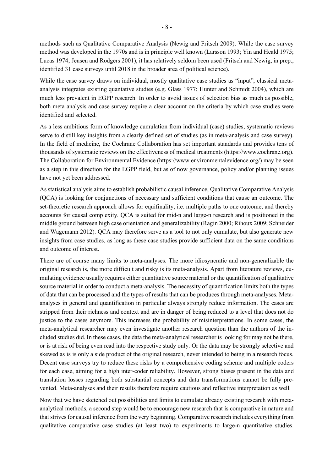methods such as Qualitative Comparative Analysis (Newig and Fritsch 2009). While the case survey method was developed in the 1970s and is in principle well known (Larsson 1993; Yin and Heald 1975; Lucas 1974; Jensen and Rodgers 2001), it has relatively seldom been used (Fritsch and Newig, in prep., identified 31 case surveys until 2018 in the broader area of political science).

While the case survey draws on individual, mostly qualitative case studies as "input", classical metaanalysis integrates existing quantative studies (e.g. Glass 1977; Hunter and Schmidt 2004), which are much less prevalent in EGPP research. In order to avoid issues of selection bias as much as possible, both meta analysis and case survey require a clear account on the criteria by which case studies were identified and selected.

As a less ambitious form of knowledge cumulation from individual (case) studies, systematic reviews serve to distill key insights from a clearly defined set of studies (as in meta-analysis and case survey). In the field of medicine, the Cochrane Collaboration has set important standards and provides tens of thousands of systematic reviews on the effectiveness of medical treatments (https://www.cochrane.org). The Collaboration for Environmental Evidence (https://www.environmentalevidence.org/) may be seen as a step in this direction for the EGPP field, but as of now governance, policy and/or planning issues have not yet been addressed.

As statistical analysis aims to establish probabilistic causal inference, Qualitative Comparative Analysis (QCA) is looking for conjunctions of necessary and sufficient conditions that cause an outcome. The set-theoretic research approach allows for equifinality, i.e. multiple paths to one outcome, and thereby accounts for causal complexity. QCA is suited for mid-n and large-n research and is positioned in the middle ground between high case orientation and generalizability (Ragin 2000; Rihoux 2009; Schneider and Wagemann 2012). QCA may therefore serve as a tool to not only cumulate, but also generate new insights from case studies, as long as these case studies provide sufficient data on the same conditions and outcome of interest.

There are of course many limits to meta-analyses. The more idiosyncratic and non-generalizable the original research is, the more difficult and risky is its meta-analysis. Apart from literature reviews, cumulating evidence usually requires either quantitative source material or the quantification of qualitative source material in order to conduct a meta-analysis. The necessity of quantification limits both the types of data that can be processed and the types of results that can be produces through meta-analyses. Metaanalyses in general and quantification in particular always strongly reduce information. The cases are stripped from their richness and context and are in danger of being reduced to a level that does not do justice to the cases anymore. This increases the probability of misinterpretations. In some cases, the meta-analytical researcher may even investigate another research question than the authors of the included studies did. In these cases, the data the meta-analytical researcher is looking for may not be there, or is at risk of being even read into the respective study only. Or the data may be strongly selective and skewed as is is only a side product of the original research, never intended to being in a research focus. Decent case surveys try to reduce these risks by a comprehensive coding scheme and multiple coders for each case, aiming for a high inter-coder reliability. However, strong biases present in the data and translation losses regarding both substantial concepts and data transformations cannot be fully prevented. Meta-analyses and their results therefore require cautious and reflective interpretation as well.

Now that we have sketched out possibilities and limits to cumulate already existing research with metaanalytical methods, a second step would be to encourage new research that is comparative in nature and that strives for causal inference from the very beginning. Comparative research includes everything from qualitative comparative case studies (at least two) to experiments to large-n quantitative studies.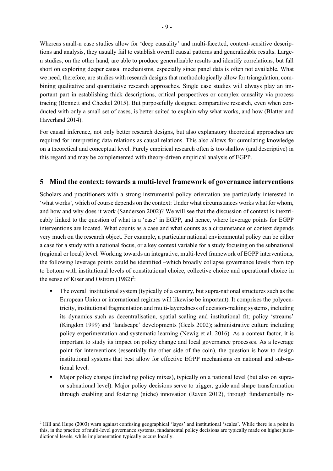Whereas small-n case studies allow for 'deep causality' and multi-facetted, context-sensitive descriptions and analysis, they usually fail to establish overall causal patterns and generalizable results. Largen studies, on the other hand, are able to produce generalizable results and identify correlations, but fall short on exploring deeper causal mechanisms, especially since panel data is often not available. What we need, therefore, are studies with research designs that methodologically allow for triangulation, combining qualitative and quantitative research approaches. Single case studies will always play an important part in establishing thick descriptions, critical perspectives or complex causality via process tracing (Bennett and Checkel 2015). But purposefully designed comparative research, even when conducted with only a small set of cases, is better suited to explain why what works, and how (Blatter and Haverland 2014).

For causal inference, not only better research designs, but also explanatory theoretical approaches are required for interpreting data relations as causal relations. This also allows for cumulating knowledge on a theoretical and conceptual level. Purely empirical research often is too shallow (and descriptive) in this regard and may be complemented with theory-driven empirical analysis of EGPP.

# **5 Mind the context: towards a multi-level framework of governance interventions**

Scholars and practitioners with a strong instrumental policy orientation are particularly interested in 'what works', which of course depends on the context: Under what circumstances works what for whom, and how and why does it work (Sanderson 2002)? We will see that the discussion of context is inextricably linked to the question of what is a 'case' in EGPP, and hence, where leverage points for EGPP interventions are located. What counts as a case and what counts as a circumstance or context depends very much on the research object. For example, a particular national environmental policy can be either a case for a study with a national focus, or a key context variable for a study focusing on the subnational (regional or local) level. Working towards an integrative, multi-level framework of EGPP interventions, the following leverage points could be identified –which broadly collapse governance levels from top to bottom with institutional levels of constitutional choice, collective choice and operational choice in the sense of Kiser and Ostrom  $(1982)^2$ :

- The overall institutional system (typically of a country, but supra-national structures such as the European Union or international regimes will likewise be important). It comprises the polycentricity, institutional fragmentation and multi-layeredness of decision-making systems, including its dynamics such as decentralisation, spatial scaling and institutional fit; policy 'streams' (Kingdon 1999) and 'landscape' developments (Geels 2002); administrative culture including policy experimentation and systematic learning (Newig et al. 2016). As a context factor, it is important to study its impact on policy change and local governance processes. As a leverage point for interventions (essentially the other side of the coin), the question is how to design institutional systems that best allow for effective EGPP mechanisms on national and sub-national level.
- Major policy change (including policy mixes), typically on a national level (but also on supraor subnational level). Major policy decisions serve to trigger, guide and shape transformation through enabling and fostering (niche) innovation (Raven 2012), through fundamentally re-

<sup>&</sup>lt;sup>2</sup> Hill and Hupe (2003) warn against confusing geographical 'layes' and institutional 'scales'. While there is a point in this, in the practice of multi-level governance systems, fundamental policy decisions are typically made on higher jurisdictional levels, while implementation typically occurs locally.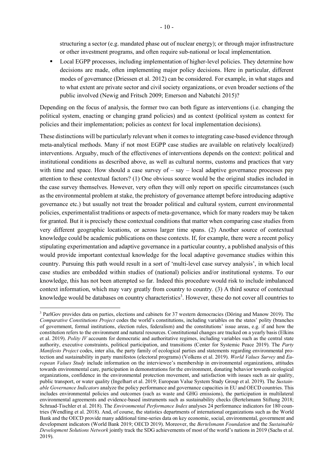structuring a sector (e.g. mandated phase out of nuclear energy); or through major infrastructure or other investment programs, and often require sub-national or local implementation.

■ Local EGPP processes, including implementation of higher-level policies. They determine how decisions are made, often implementing major policy decisions. Here in particular, different modes of governance (Driessen et al. 2012) can be considered. For example, in what stages and to what extent are private sector and civil society organizations, or even broader sections of the public involved (Newig and Fritsch 2009; Emerson and Nabatchi 2015)?

Depending on the focus of analysis, the former two can both figure as interventions (i.e. changing the political system, enacting or changing grand policies) and as context (political system as context for policies and their implementation; policies as context for local implementation decisions).

These distinctions will be particularly relevant when it comes to integrating case-based evidence through meta-analytical methods. Many if not most EGPP case studies are available on relatively local(ized) interventions. Arguaby, much of the effectivenes of interventions depends on the context: political and institutional conditions as described above, as well as cultural norms, customs and practices that vary with time and space. How should a case survey of  $-$  say  $-$  local adaptive governance processes pay attention to these contextual factors? (1) One obvious source would be the original studies included in the case survey themselves. However, very often they will only report on specific circumstances (such as the environmental problem at stake, the prehistory of governance attempt before introducing adaptive governance etc.) but usually not treat the broader political and cultural system, current environmental policies, experimentalist traditions or aspects of meta-governance, which for many readers may be taken for granted. But it is precisely these contextual conditions that matter when comparing case studies from very different geographic locations, or across larger time spans. (2) Another source of contextual knowledge could be academic publications on these contexts. If, for example, there were a recent policy stipulating experimentation and adaptive governance in a particular country, a published analysis of this would provide important contextual knowledge for the local adaptive governance studies within this country. Pursuing this path would result in a sort of 'multi-level case survey analysis', in which local case studies are embedded within studies of (national) policies and/or institutional systems. To our knowledge, this has not been attempted so far. Indeed this procedure would risk to include imbalanced context information, which may vary greatly from country to country. (3) A third source of contextual knowledge would be databases on country characteristics<sup>3</sup>. However, these do not cover all countries to

 <sup>3</sup> ParlGov provides data on parties, elections and cabinets for 37 western democracies (Döring and Manow 2019). The *Comparative Constitutions Project* codes the world's constitutions, including variables on the states' polity (branches of government, formal institutions, election rules, federalism) and the constitutions' issue areas, e.g. if and how the constitution refers to the environment and natural resources. Constitutional changes are tracked on a yearly basis (Elkins et al. 2019). *Polity IV* accounts for democratic and authoritative regimes, including variables such as the central state authority, executive constraints, political participation, and transitions (Center for Systemic Peace 2019). The *Party Manifesto Project* codes, inter alia, the party family of ecological parties and statements regarding environmental protection and sustainability in party manifestos (electoral programs) (Volkens et al. 2019). *World Values Survey* and *European Values Study* include information on the interviewee's membership in environmental organizations, attitudes towards environmental care, participation in demonstrations for the environment, donating behavior towards ecological organizations, confidence in the environmental protection movement, and satisfaction with issues such as air quality, public transport, or water quality (Ingelhart et al. 2019; European Value System Study Group et al. 2019). The *Sustainable Governance Indicators* analyze the policy performance and governance capacities in EU and OECD countries. This includes environmental policies and outcomes (such as waste and GHG emissions), the participation in multilateral environmental agreements and evidence-based instruments such as sustainability checks (Bertelsmann Stiftung 2018; Schraad-Tischler et al. 2018). The *Environmental Performance Index* analyses 24 performance indicators for 180 countries (Wendling et al. 2018). And, of course, the statistics departments of international organizations such as the World Bank and the OECD provide many additional time-series data on key economic, social, environmental, government and development indicators (World Bank 2019; OECD 2019). Moreover, the *Bertelsmann Foundation* and the *Sustainable Development Solutions Network* jointly track the SDG achievements of most of the world's nations in 2019 (Sachs et al. 2019).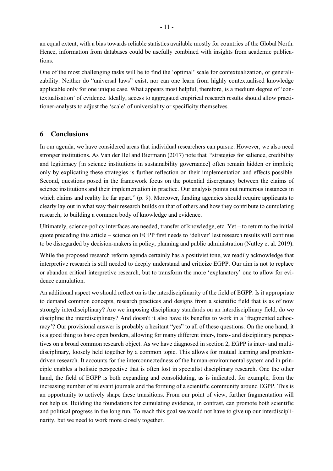an equal extent, with a bias towards reliable statistics available mostly for countries of the Global North. Hence, information from databases could be usefully combined with insights from academic publications.

One of the most challenging tasks will be to find the 'optimal' scale for contextualization, or generalizability. Neither do "universal laws" exist, nor can one learn from highly contextualised knowledge applicable only for one unique case. What appears most helpful, therefore, is a medium degree of 'contextualisation' of evidence. Ideally, access to aggregated empirical research results should allow practitioner-analysts to adjust the 'scale' of universiality or specificity themselves.

### **6 Conclusions**

In our agenda, we have considered areas that individual researchers can pursue. However, we also need stronger institutions. As Van der Hel and Biermann (2017) note that "strategies for salience, credibility and legitimacy [in science institutions in sustainability governance] often remain hidden or implicit; only by explicating these strategies is further reflection on their implementation and effects possible. Second, questions posed in the framework focus on the potential discrepancy between the claims of science institutions and their implementation in practice. Our analysis points out numerous instances in which claims and reality lie far apart." (p. 9). Moreover, funding agencies should require applicants to clearly lay out in what way their research builds on that of others and how they contribute to cumulating research, to building a common body of knowledge and evidence.

Ultimately, science-policy interfaces are needed, transfer of knowledge, etc. Yet – to return to the initial quote preceding this article – science on EGPP first needs to 'deliver' lest research results will continue to be disregarded by decision-makers in policy, planning and public administration (Nutley et al. 2019).

While the proposed research reform agenda certainly has a positivist tone, we readily acknowledge that interpretive research is still needed to deeply understand and criticize EGPP. Our aim is not to replace or abandon critical interpretive research, but to transform the more 'explanatory' one to allow for evidence cumulation.

An additional aspect we should reflect on is the interdisciplinarity of the field of EGPP. Is it appropriate to demand common concepts, research practices and designs from a scientific field that is as of now strongly interdisciplinary? Are we imposing disciplinary standards on an interdisciplinary field, do we discipline the interdisciplinary? And doesn't it also have its benefits to work in a 'fragmented adhocracy'? Our provisional answer is probably a hesitant "yes" to all of these questions. On the one hand, it is a good thing to have open borders, allowing for many different inter-, trans- and disciplinary perspectives on a broad common research object. As we have diagnosed in section 2, EGPP is inter- and multidisciplinary, loosely held together by a common topic. This allows for mutual learning and problemdriven research. It accounts for the interconnectedness of the human-environmental system and in principle enables a holistic perspective that is often lost in specialist disciplinary research. One the other hand, the field of EGPP is both expanding and consolidating, as is indicated, for example, from the increasing number of relevant journals and the forming of a scientific community around EGPP. This is an opportunity to actively shape these transitions. From our point of view, further fragmentation will not help us. Building the foundations for cumulating evidence, in contrast, can promote both scientific and political progress in the long run. To reach this goal we would not have to give up our interdisciplinarity, but we need to work more closely together.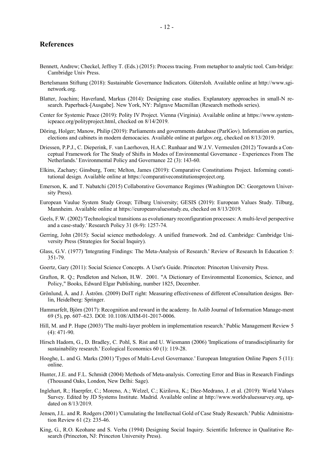#### **References**

- Bennett, Andrew; Checkel, Jeffrey T. (Eds.) (2015): Process tracing. From metaphor to analytic tool. Cam-bridge: Cambridge Univ Press.
- Bertelsmann Stiftung (2018): Sustainable Governance Indicators. Gütersloh. Available online at http://www.sginetwork.org.
- Blatter, Joachim; Haverland, Markus (2014): Designing case studies. Explanatory approaches in small-N research. Paperback-[Ausgabe]. New York, NY: Palgrave Macmillan (Research methods series).
- Center for Systemic Peace (2019): Polity IV Project. Vienna (Virginia). Available online at https://www.systemicpeace.org/polityproject.html, checked on 8/14/2019.
- Döring, Holger; Manow, Philip (2019): Parliaments and governments database (ParlGov). Information on parties, elections and cabinets in modern democacies. Available online at parlgov.org, checked on 8/13/2019.
- Driessen, P.P.J., C. Dieperink, F. van Laerhoven, H.A.C. Runhaar and W.J.V. Vermeulen (2012) 'Towards a Conceptual Framework for The Study of Shifts in Modes of Environmental Governance - Experiences From The Netherlands.' Environmental Policy and Governance 22 (3): 143-60.
- Elkins, Zachary; Ginsburg, Tom; Melton, James (2019): Comparative Constitutions Project. Informing constitutional design. Available online at https://comparativeconstitutionsproject.org.
- Emerson, K. and T. Nabatchi (2015) Collaborative Governance Regimes (Washington DC: Georgetown University Press).
- European Vaulue System Study Group; Tilburg University; GESIS (2019): European Values Study. Tilburg, Mannheim. Available online at https://europeanvaluesstudy.eu, checked on 8/13/2019.
- Geels, F.W. (2002) 'Technological transitions as evolutionary reconfiguration processes: A multi-level perspective and a case-study.' Research Policy 31 (8-9): 1257-74.
- Gerring, John (2015): Social science methodology. A unified framework. 2nd ed. Cambridge: Cambridge University Press (Strategies for Social Inquiry).
- Glass, G.V. (1977) 'Integrating Findings: The Meta-Analysis of Research.' Review of Research In Education 5: 351-79.
- Goertz, Gary (2011): Social Science Concepts. A User's Guide. Princeton: Princeton University Press.
- Grafton, R. Q.; Pendleton and Nelson, H.W. 2001. "A Dictionary of Environmental Economics, Science, and Policy," Books, Edward Elgar Publishing, number 1825, December.
- Grönlund, Å. and J. Åström. (2009) DoIT right: Measuring effectiveness of different eConsultation designs. Berlin, Heidelberg: Springer.
- Hammarfelt, Björn (2017): Recognition and reward in the academy. In Aslib Journal of Information Manage-ment 69 (5), pp. 607–623. DOI: 10.1108/AJIM-01-2017-0006.
- Hill, M. and P. Hupe (2003) 'The multi-layer problem in implementation research.' Public Management Review 5 (4): 471-90.
- Hirsch Hadorn, G., D. Bradley, C. Pohl, S. Rist and U. Wiesmann (2006) 'Implications of transdisciplinarity for sustainability research.' Ecological Economics 60 (1): 119-28.
- Hooghe, L. and G. Marks (2001) 'Types of Multi-Level Governance.' European Integration Online Papers 5 (11): online.
- Hunter, J.E. and F.L. Schmidt (2004) Methods of Meta-analysis. Correcting Error and Bias in Research Findings (Thousand Oaks, London, New Delhi: Sage).
- Inglehart, R.; Haerpfer, C.; Moreno, A.; Welzel, C.; Kizilova, K.; Diez-Medrano, J. et al. (2019): World Values Survey. Edited by JD Systems Institute. Madrid. Available online at http://www.worldvaluessurvey.org, updated on 8/13/2019.
- Jensen, J.L. and R. Rodgers (2001) 'Cumulating the Intellectual Gold of Case Study Research.' Public Administration Review 61 (2): 235-46.
- King, G., R.O. Keohane and S. Verba (1994) Designing Social Inquiry. Scientific Inference in Qualitative Research (Princeton, NJ: Princeton University Press).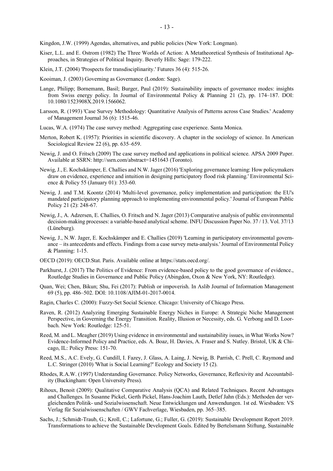Kingdon, J.W. (1999) Agendas, alternatives, and public policies (New York: Longman).

- Kiser, L.L. and E. Ostrom (1982) The Three Worlds of Action: A Metatheoretical Synthesis of Institutional Approaches, in Strategies of Political Inquiry. Beverly Hills: Sage: 179-222.
- Klein, J.T. (2004) 'Prospects for transdisciplinarity.' Futures 36 (4): 515-26.
- Kooiman, J. (2003) Governing as Governance (London: Sage).
- Lange, Philipp; Bornemann, Basil; Burger, Paul (2019): Sustainability impacts of governance modes: insights from Swiss energy policy. In Journal of Environmental Policy & Planning 21 (2), pp. 174–187. DOI: 10.1080/1523908X.2019.1566062.
- Larsson, R. (1993) 'Case Survey Methodology: Quantitative Analysis of Patterns across Case Studies.' Academy of Management Journal 36 (6): 1515-46.
- Lucas, W.A. (1974) The case survey method: Aggregating case experience. Santa Monica.
- Merton, Robert K. (1957): Priorities in scientific discovery. A chapter in the sociology of science. In American Sociological Review 22 (6), pp. 635–659.
- Newig, J. and O. Fritsch (2009) The case survey method and applications in political science. APSA 2009 Paper. Available at SSRN: http://ssrn.com/abstract=1451643 (Toronto).
- Newig, J., E. Kochskämper, E. Challies and N.W. Jager (2016) 'Exploring governance learning: How policymakers draw on evidence, experience and intuition in designing participatory flood risk planning.' Environmental Science & Policy 55 (January 01): 353-60.
- Newig, J. and T.M. Koontz (2014) 'Multi-level governance, policy implementation and participation: the EU's mandated participatory planning approach to implementing environmental policy.' Journal of European Public Policy 21 (2): 248-67.
- Newig, J., A. Adzersen, E. Challies, O. Fritsch and N. Jager (2013) Comparative analysis of public environmental decision-making processes: a variable-based analytical scheme. INFU Discussion Paper No. 37 / 13. Vol. 37/13 (Lüneburg).
- Newig, J., N.W. Jager, E. Kochskämper and E. Challies (2019) 'Learning in participatory environmental governance – its antecedents and effects. Findings from a case survey meta-analysis.' Journal of Environmental Policy & Planning: 1-15.
- OECD (2019): OECD.Stat. Paris. Available online at https://stats.oecd.org/.
- Parkhurst, J. (2017) The Politics of Evidence: From evidence-based policy to the good governance of evidence., Routledge Studies in Governance and Public Policy (Abingdon, Oxon & New York, NY: Routledge).
- Quan, Wei; Chen, Bikun; Shu, Fei (2017): Publish or impoverish. In Aslib Journal of Information Management 69 (5), pp. 486–502. DOI: 10.1108/AJIM-01-2017-0014.
- Ragin, Charles C. (2000): Fuzzy-Set Social Science. Chicago: University of Chicago Press.
- Raven, R. (2012) Analyzing Emerging Sustainable Energy Niches in Europe: A Strategic Niche Management Perspective, in Governing the Energy Transition. Reality, Illusion or Necessity, eds. G. Verbong and D. Loorbach. New York: Routledge: 125-51.
- Reed, M. and L. Meagher (2019) Using evidence in environmental and sustainability issues, in What Works Now? Evidence-Informed Policy and Practice, eds. A. Boaz, H. Davies, A. Fraser and S. Nutley. Bristol, UK & Chicago, IL: Policy Press: 151-70.
- Reed, M.S., A.C. Evely, G. Cundill, I. Fazey, J. Glass, A. Laing, J. Newig, B. Parrish, C. Prell, C. Raymond and L.C. Stringer (2010) 'What is Social Learning?' Ecology and Society 15 (2).
- Rhodes, R.A.W. (1997) Understanding Governance. Policy Networks, Governance, Reflexivity and Accountability (Buckingham: Open University Press).
- Rihoux, Benoit (2009): Qualitative Comparative Analysis (QCA) and Related Techniques. Recent Advantages and Challenges. In Susanne Pickel, Gerth Pickel, Hans-Joachim Lauth, Detlef Jahn (Eds.): Methoden der vergleichenden Politik- und Sozialwissenschaft. Neue Entwicklungen und Anwendungen. 1st ed. Wiesbaden: VS Verlag für Sozialwissenschaften / GWV Fachverlage, Wiesbaden, pp. 365–385.
- Sachs, J.; Schmidt-Traub, G.; Kroll, C.; Lafortune, G.; Fuller, G. (2019): Sustainable Development Report 2019. Transformations to achieve the Sustainable Development Goals. Edited by Bertelsmann Stiftung, Sustainable